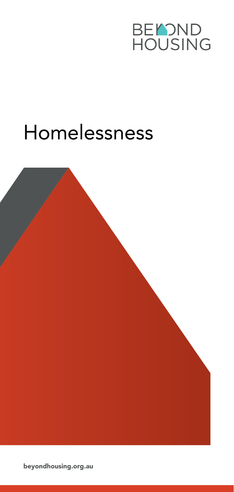

# Homelessness

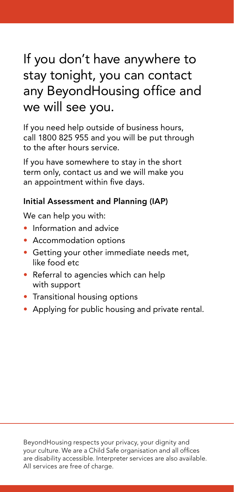# If you don't have anywhere to stay tonight, you can contact any BeyondHousing office and we will see you.

If you need help outside of business hours, call 1800 825 955 and you will be put through to the after hours service.

If you have somewhere to stay in the short term only, contact us and we will make you an appointment within five days.

## Initial Assessment and Planning (IAP)

We can help you with:

- Information and advice
- Accommodation options
- Getting your other immediate needs met, like food etc
- Referral to agencies which can help with support
- Transitional housing options
- Applying for public housing and private rental.

BeyondHousing respects your privacy, your dignity and your culture. We are a Child Safe organisation and all offices are disability accessible. Interpreter services are also available. All services are free of charge.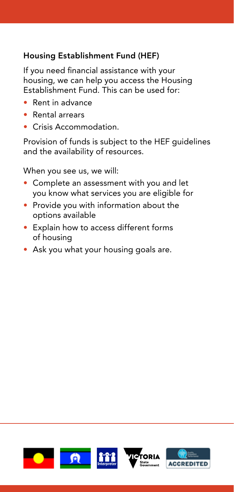## Housing Establishment Fund (HEF)

If you need financial assistance with your housing, we can help you access the Housing Establishment Fund. This can be used for:

- Rent in advance
- Rental arrears
- Crisis Accommodation.

Provision of funds is subject to the HEF guidelines and the availability of resources.

When you see us, we will:

- Complete an assessment with you and let you know what services you are eligible for
- Provide you with information about the options available
- Explain how to access different forms of housing
- Ask you what your housing goals are.